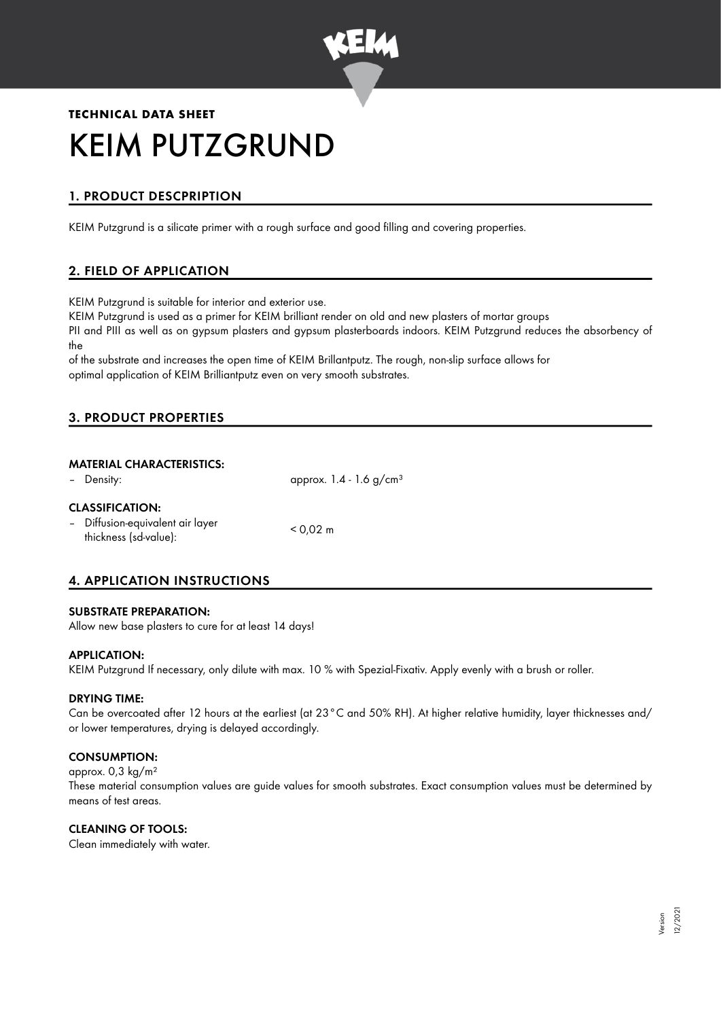

# **TECHNICAL DATA SHEET** KEIM PUTZGRUND

# 1. PRODUCT DESCPRIPTION

KEIM Putzgrund is a silicate primer with a rough surface and good filling and covering properties.

# 2. FIELD OF APPLICATION

KEIM Putzgrund is suitable for interior and exterior use.

KEIM Putzgrund is used as a primer for KEIM brilliant render on old and new plasters of mortar groups PII and PIII as well as on gypsum plasters and gypsum plasterboards indoors. KEIM Putzgrund reduces the absorbency of the

of the substrate and increases the open time of KEIM Brillantputz. The rough, non-slip surface allows for optimal application of KEIM Brilliantputz even on very smooth substrates.

## 3. PRODUCT PROPERTIES

## MATERIAL CHARACTERISTICS:

| - Density:                                                                          | approx. $1.4 - 1.6$ g/cm <sup>3</sup> |
|-------------------------------------------------------------------------------------|---------------------------------------|
| <b>CLASSIFICATION:</b><br>- Diffusion-equivalent air layer<br>thickness (sd-value): | $< 0.02 \text{ m}$                    |

# 4. APPLICATION INSTRUCTIONS

#### SUBSTRATE PREPARATION:

Allow new base plasters to cure for at least 14 days!

#### APPLICATION:

KEIM Putzgrund If necessary, only dilute with max. 10 % with Spezial-Fixativ. Apply evenly with a brush or roller.

#### DRYING TIME:

Can be overcoated after 12 hours at the earliest (at 23°C and 50% RH). At higher relative humidity, layer thicknesses and/ or lower temperatures, drying is delayed accordingly.

## CONSUMPTION:

approx. 0,3 kg/m² These material consumption values are guide values for smooth substrates. Exact consumption values must be determined by means of test areas.

## CLEANING OF TOOLS:

Clean immediately with water.